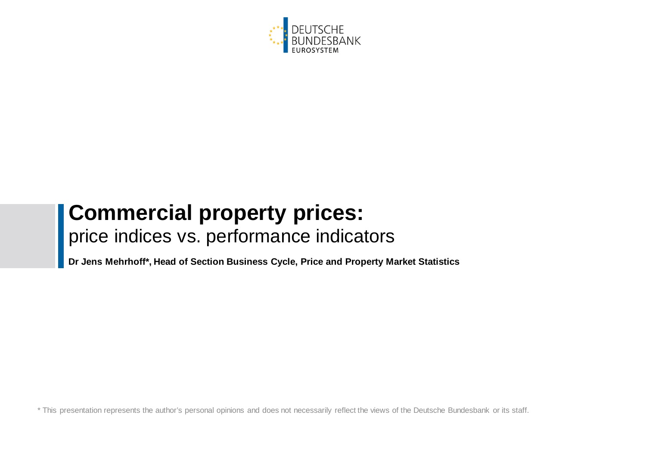

# **Commercial property prices:** price indices vs. performance indicators

**Dr Jens Mehrhoff\*, Head of Section Business Cycle, Price and Property Market Statistics**

the areantation represents the author's personal opinions. \* This presentation represents the author's personal opinions and does not necessarily reflect the views of the Deutsche Bundesbank or its staff.<br>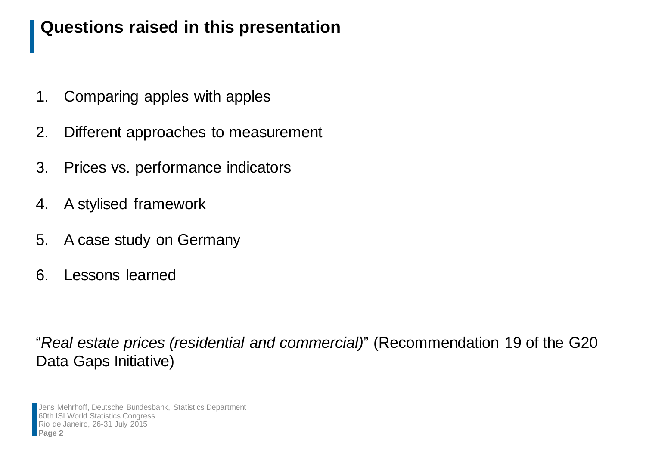#### **Questions raised in this presentation**

- 1. Comparing apples with apples
- 2. Different approaches to measurement
- 3. Prices vs. performance indicators
- 4. A stylised framework
- 5. A case study on Germany
- 6. Lessons learned

"*Real estate prices (residential and commercial)*" (Recommendation 19 of the G20 Data Gaps Initiative)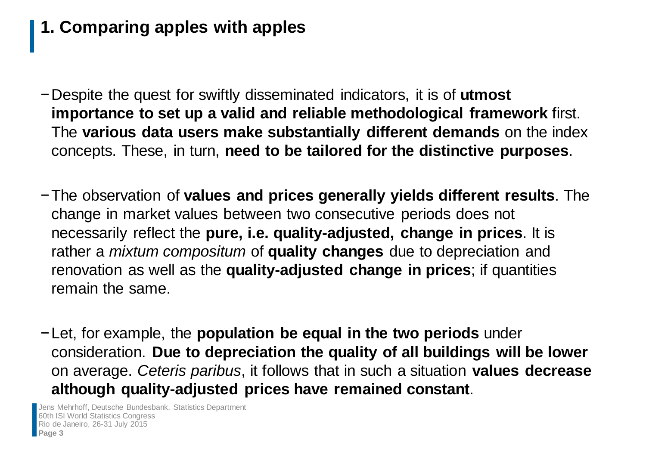# **1. Comparing apples with apples**

- −Despite the quest for swiftly disseminated indicators, it is of **utmost importance to set up a valid and reliable methodological framework** first. The **various data users make substantially different demands** on the index concepts. These, in turn, **need to be tailored for the distinctive purposes**.
- −The observation of **values and prices generally yields different results**. The change in market values between two consecutive periods does not necessarily reflect the **pure, i.e. quality-adjusted, change in prices**. It is rather a *mixtum compositum* of **quality changes** due to depreciation and renovation as well as the **quality-adjusted change in prices**; if quantities remain the same.
- −Let, for example, the **population be equal in the two periods** under consideration. **Due to depreciation the quality of all buildings will be lower** on average. *Ceteris paribus*, it follows that in such a situation **values decrease although quality-adjusted prices have remained constant**.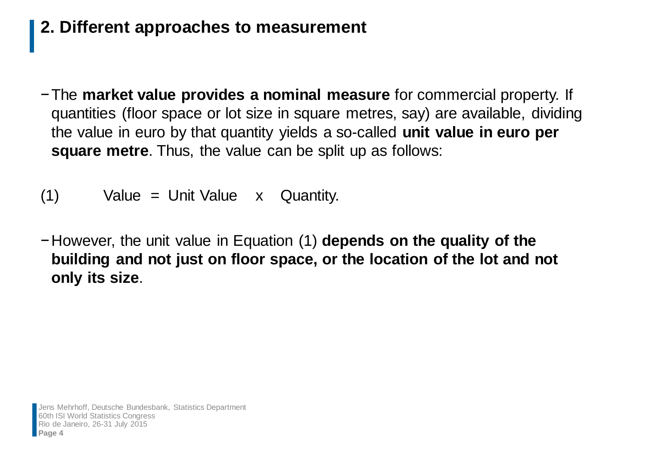## **2. Different approaches to measurement**

- −The **market value provides a nominal measure** for commercial property. If quantities (floor space or lot size in square metres, say) are available, dividing the value in euro by that quantity yields a so-called **unit value in euro per square metre**. Thus, the value can be split up as follows:
- (1) Value = Unit Value x Quantity.
- −However, the unit value in Equation (1) **depends on the quality of the building and not just on floor space, or the location of the lot and not only its size**.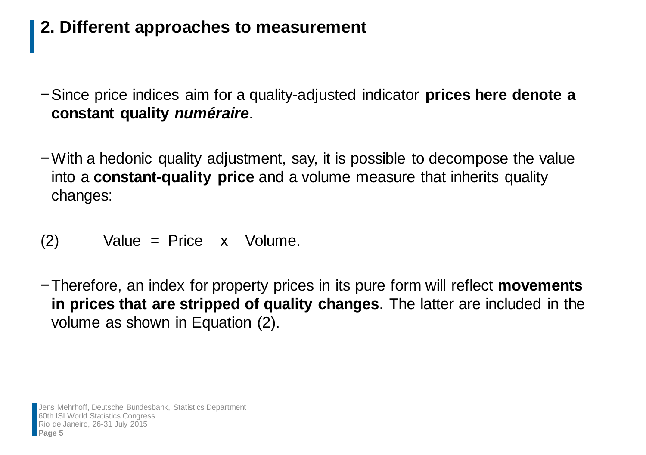## **2. Different approaches to measurement**

- −Since price indices aim for a quality-adjusted indicator **prices here denote a constant quality** *numéraire*.
- −With a hedonic quality adjustment, say, it is possible to decompose the value into a **constant-quality price** and a volume measure that inherits quality changes:

$$
(2) Value = Price x Volume.
$$

−Therefore, an index for property prices in its pure form will reflect **movements in prices that are stripped of quality changes**. The latter are included in the volume as shown in Equation (2).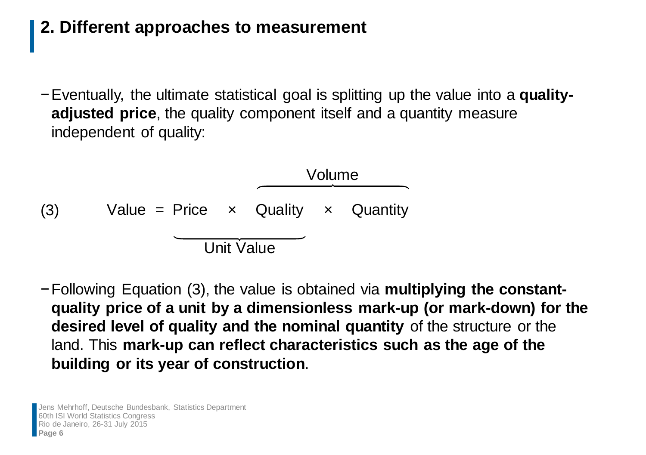## **2. Different approaches to measurement**

−Eventually, the ultimate statistical goal is splitting up the value into a **qualityadjusted price**, the quality component itself and a quantity measure independent of quality:

(3) Value = Price 
$$
\times
$$
 Quality  $\times$  Quantity

−Following Equation (3), the value is obtained via **multiplying the constantquality price of a unit by a dimensionless mark-up (or mark-down) for the desired level of quality and the nominal quantity** of the structure or the land. This **mark-up can reflect characteristics such as the age of the building or its year of construction**.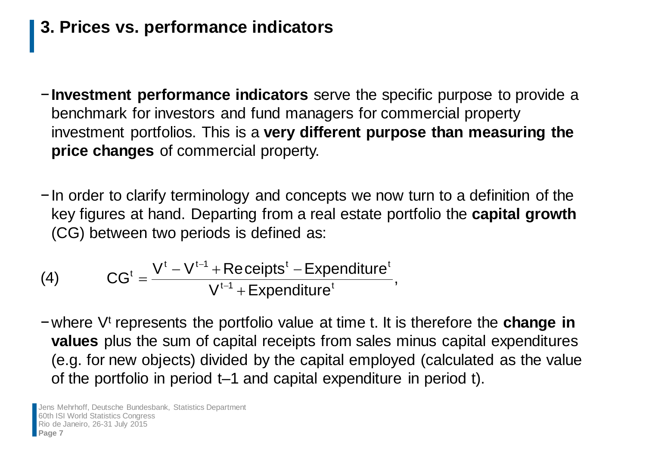## **3. Prices vs. performance indicators**

- −**Investment performance indicators** serve the specific purpose to provide a benchmark for investors and fund managers for commercial property investment portfolios. This is a **very different purpose than measuring the price changes** of commercial property.
- −In order to clarify terminology and concepts we now turn to a definition of the key figures at hand. Departing from a real estate portfolio the **capital growth** (CG) between two periods is defined as:

(4) 
$$
CGt = \frac{Vt - Vt-1 + Receiptst - Expendituret}{Vt-1 + Expendituret},
$$

−where Vt represents the portfolio value at time t. It is therefore the **change in values** plus the sum of capital receipts from sales minus capital expenditures (e.g. for new objects) divided by the capital employed (calculated as the value of the portfolio in period t–1 and capital expenditure in period t).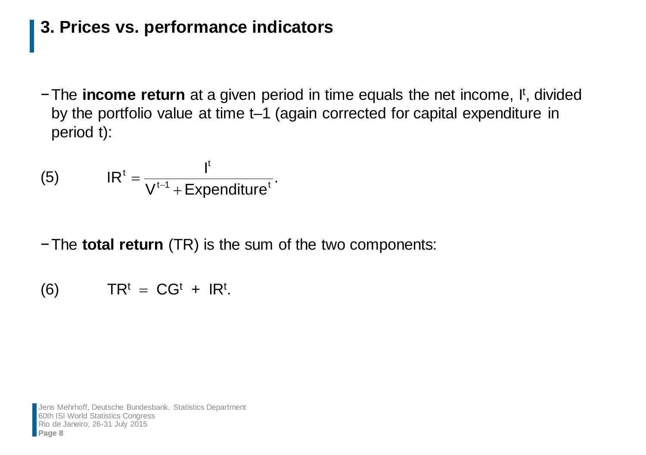#### **3. Prices vs. performance indicators**

−The income return at a given period in time equals the net income, I<sup>t</sup>, divided by the portfolio value at time t–1 (again corrected for capital expenditure in period t):

(5) 
$$
IR^t = \frac{I^t}{V^{t-1} + \text{Expenditure}^t}
$$

−The **total return** (TR) is the sum of the two components:

$$
(6) \hspace{1cm} \text{TR}^t = \text{CG}^t + \text{IR}^t.
$$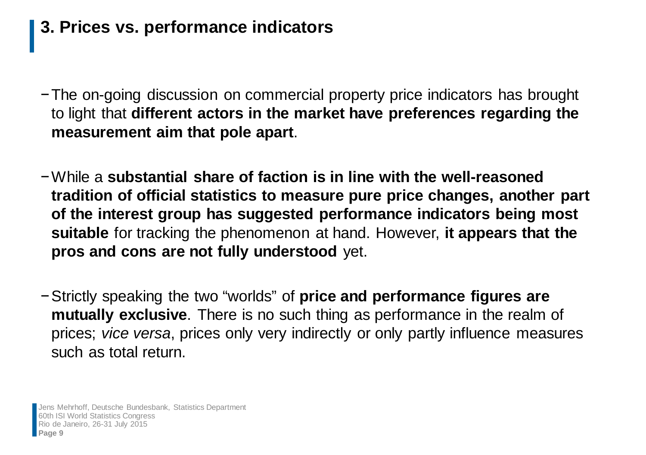## **3. Prices vs. performance indicators**

- −The on-going discussion on commercial property price indicators has brought to light that **different actors in the market have preferences regarding the measurement aim that pole apart**.
- −While a **substantial share of faction is in line with the well-reasoned tradition of official statistics to measure pure price changes, another part of the interest group has suggested performance indicators being most suitable** for tracking the phenomenon at hand. However, **it appears that the pros and cons are not fully understood** yet.
- −Strictly speaking the two "worlds" of **price and performance figures are mutually exclusive**. There is no such thing as performance in the realm of prices; *vice versa*, prices only very indirectly or only partly influence measures such as total return.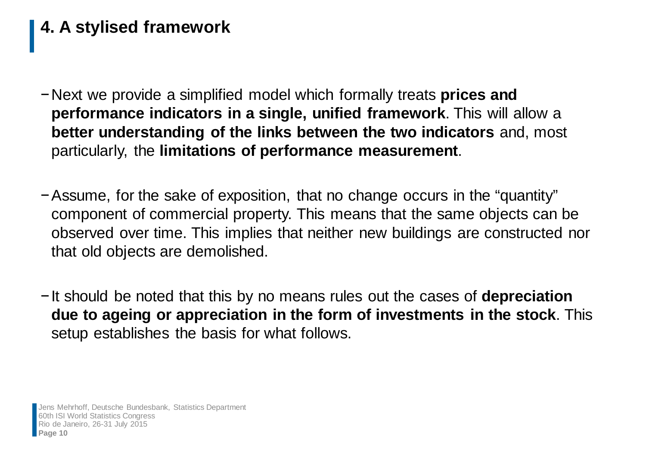- −Next we provide a simplified model which formally treats **prices and performance indicators in a single, unified framework**. This will allow a **better understanding of the links between the two indicators** and, most particularly, the **limitations of performance measurement**.
- −Assume, for the sake of exposition, that no change occurs in the "quantity" component of commercial property. This means that the same objects can be observed over time. This implies that neither new buildings are constructed nor that old objects are demolished.
- −It should be noted that this by no means rules out the cases of **depreciation due to ageing or appreciation in the form of investments in the stock**. This setup establishes the basis for what follows.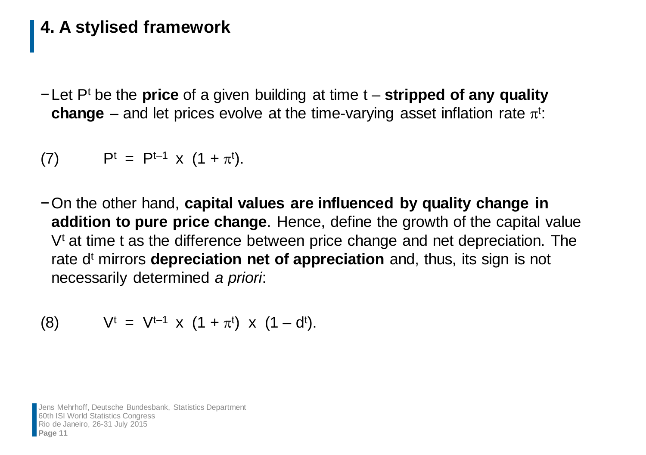−Let Pt be the **price** of a given building at time t – **stripped of any quality change** – and let prices evolve at the time-varying asset inflation rate  $\pi^{\mathrm{t}}$ :

(7) 
$$
P^t = P^{t-1} \times (1 + \pi^t)
$$
.

−On the other hand, **capital values are influenced by quality change in addition to pure price change**. Hence, define the growth of the capital value  $V<sup>t</sup>$  at time t as the difference between price change and net depreciation. The rate d<sup>t</sup> mirrors **depreciation net of appreciation** and, thus, its sign is not necessarily determined *a priori*:

(8) 
$$
V^t = V^{t-1} \times (1 + \pi^t) \times (1 - d^t)
$$
.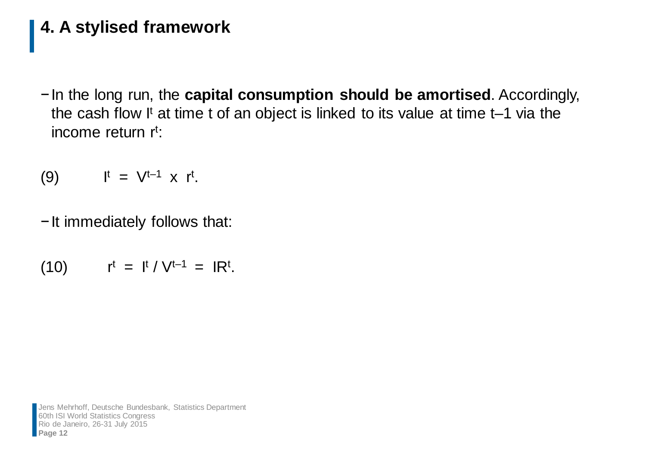−In the long run, the **capital consumption should be amortised**. Accordingly, the cash flow It at time t of an object is linked to its value at time  $t-1$  via the income return r<sup>t</sup>:

$$
(9) \qquad \qquad I^t = V^{t-1} \times r^t.
$$

−It immediately follows that:

$$
(10) \qquad \qquad \mathsf{r}^{\mathsf{t}} = \mathsf{I}^{\mathsf{t}} / \mathsf{V}^{\mathsf{t}-1} = \mathsf{I} \mathsf{R}^{\mathsf{t}}.
$$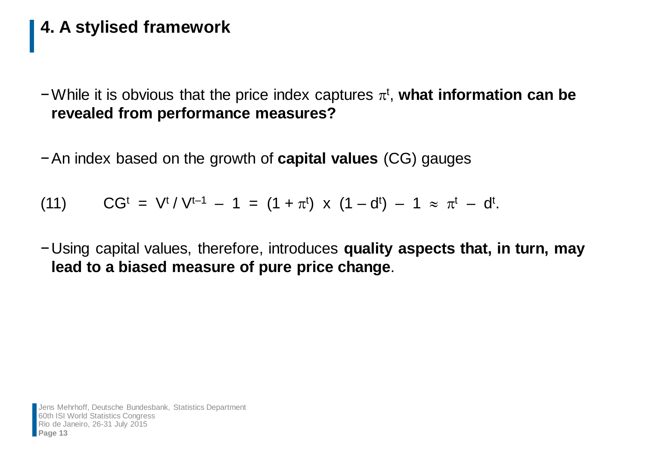$-$  While it is obvious that the price index captures  $\pi$ <sup>t</sup>, what information can be **revealed from performance measures?**

−An index based on the growth of **capital values** (CG) gauges

(11) 
$$
CG^{t} = V^{t} / V^{t-1} - 1 = (1 + \pi^{t}) \times (1 - d^{t}) - 1 \approx \pi^{t} - d^{t}.
$$

−Using capital values, therefore, introduces **quality aspects that, in turn, may lead to a biased measure of pure price change**.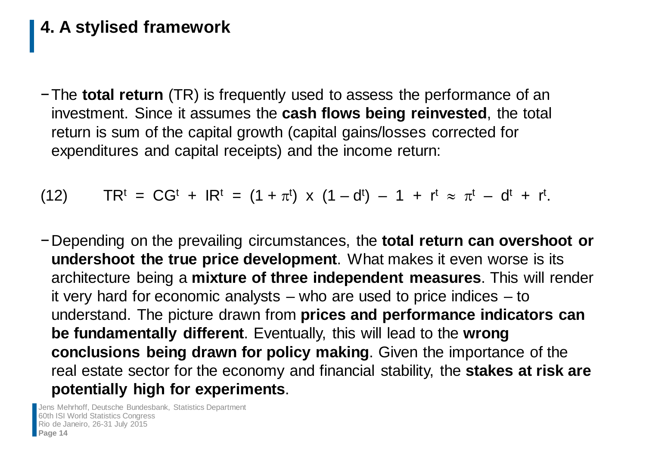−The **total return** (TR) is frequently used to assess the performance of an investment. Since it assumes the **cash flows being reinvested**, the total return is sum of the capital growth (capital gains/losses corrected for expenditures and capital receipts) and the income return:

(12)  $TR<sup>t</sup> = CG<sup>t</sup> + IR<sup>t</sup> = (1 + \pi<sup>t</sup>) \times (1 - d<sup>t</sup>) - 1 + r<sup>t</sup> \approx \pi<sup>t</sup> - d<sup>t</sup> + r<sup>t</sup>.$ 

−Depending on the prevailing circumstances, the **total return can overshoot or undershoot the true price development**. What makes it even worse is its architecture being a **mixture of three independent measures**. This will render it very hard for economic analysts – who are used to price indices – to understand. The picture drawn from **prices and performance indicators can be fundamentally different**. Eventually, this will lead to the **wrong conclusions being drawn for policy making**. Given the importance of the real estate sector for the economy and financial stability, the **stakes at risk are potentially high for experiments**.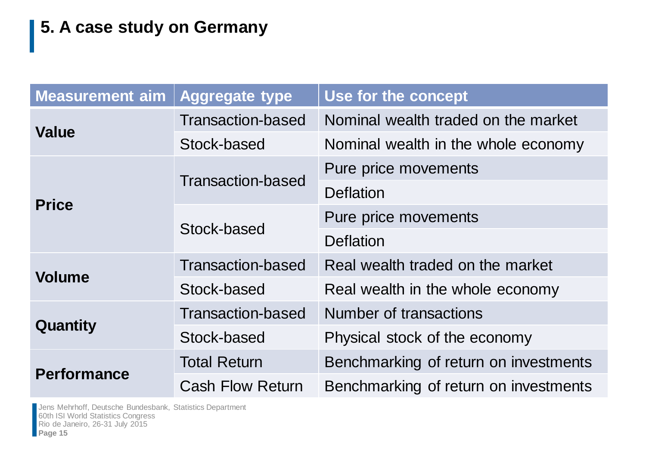| <b>Measurement aim</b> | <b>Aggregate type</b>    | Use for the concept                   |  |
|------------------------|--------------------------|---------------------------------------|--|
| <b>Value</b>           | <b>Transaction-based</b> | Nominal wealth traded on the market   |  |
|                        | Stock-based              | Nominal wealth in the whole economy   |  |
| <b>Price</b>           | <b>Transaction-based</b> | Pure price movements                  |  |
|                        |                          | Deflation                             |  |
|                        | Stock-based              | Pure price movements                  |  |
|                        |                          | <b>Deflation</b>                      |  |
| <b>Volume</b>          | <b>Transaction-based</b> | Real wealth traded on the market      |  |
|                        | Stock-based              | Real wealth in the whole economy      |  |
| Quantity               | <b>Transaction-based</b> | Number of transactions                |  |
|                        | Stock-based              | Physical stock of the economy         |  |
| <b>Performance</b>     | <b>Total Return</b>      | Benchmarking of return on investments |  |
|                        | <b>Cash Flow Return</b>  | Benchmarking of return on investments |  |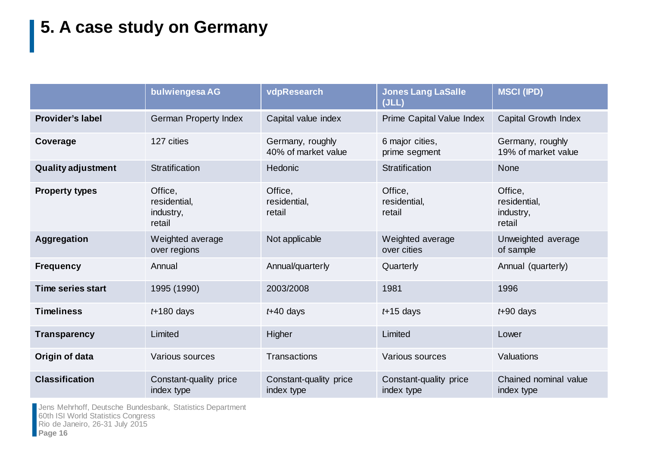|                           | bulwiengesa AG                                 | vdpResearch                             | <b>Jones Lang LaSalle</b><br>(JLL)   | <b>MSCI (IPD)</b>                              |
|---------------------------|------------------------------------------------|-----------------------------------------|--------------------------------------|------------------------------------------------|
| <b>Provider's label</b>   | <b>German Property Index</b>                   | Capital value index                     | Prime Capital Value Index            | <b>Capital Growth Index</b>                    |
| Coverage                  | 127 cities                                     | Germany, roughly<br>40% of market value | 6 major cities,<br>prime segment     | Germany, roughly<br>19% of market value        |
| <b>Quality adjustment</b> | Stratification                                 | Hedonic                                 | Stratification                       | <b>None</b>                                    |
| <b>Property types</b>     | Office,<br>residential,<br>industry,<br>retail | Office,<br>residential,<br>retail       | Office,<br>residential,<br>retail    | Office,<br>residential,<br>industry,<br>retail |
| <b>Aggregation</b>        | Weighted average<br>over regions               | Not applicable                          | Weighted average<br>over cities      | Unweighted average<br>of sample                |
| <b>Frequency</b>          | Annual                                         | Annual/quarterly                        | Quarterly                            | Annual (quarterly)                             |
| <b>Time series start</b>  | 1995 (1990)                                    | 2003/2008                               | 1981                                 | 1996                                           |
| <b>Timeliness</b>         | $t+180$ days                                   | $t + 40$ days                           | $t+15$ days                          | $t + 90$ days                                  |
| <b>Transparency</b>       | Limited                                        | Higher                                  | Limited                              | Lower                                          |
| Origin of data            | Various sources                                | <b>Transactions</b>                     | Various sources                      | Valuations                                     |
| <b>Classification</b>     | Constant-quality price<br>index type           | Constant-quality price<br>index type    | Constant-quality price<br>index type | Chained nominal value<br>index type            |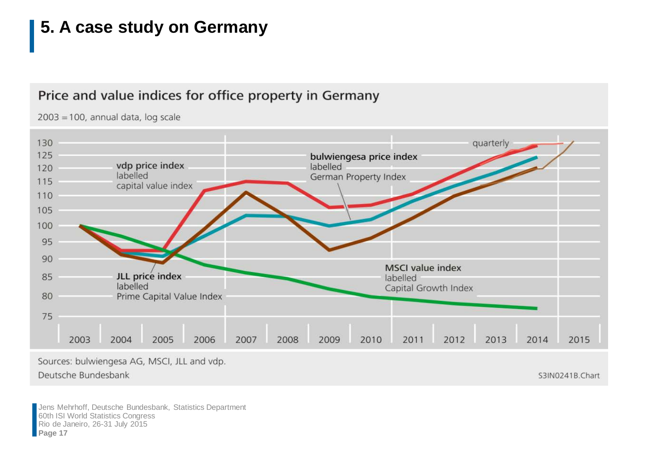#### Price and value indices for office property in Germany

 $2003 = 100$ , annual data, log scale



Sources: bulwiengesa AG, MSCI, JLL and vdp.

Deutsche Bundesbank

S3IN0241B.Chart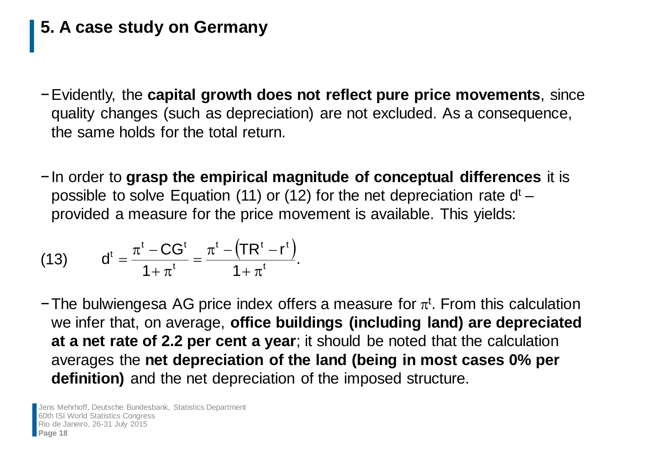- −Evidently, the **capital growth does not reflect pure price movements**, since quality changes (such as depreciation) are not excluded. As a consequence, the same holds for the total return.
- −In order to **grasp the empirical magnitude of conceptual differences** it is possible to solve Equation (11) or (12) for the net depreciation rate  $d<sup>t</sup>$  – provided a measure for the price movement is available. This yields:

(13) 
$$
d^{t} = \frac{\pi^{t} - CG^{t}}{1 + \pi^{t}} = \frac{\pi^{t} - (TR^{t} - r^{t})}{1 + \pi^{t}}.
$$

-The bulwiengesa AG price index offers a measure for  $\pi^t$ . From this calculation we infer that, on average, **office buildings (including land) are depreciated at a net rate of 2.2 per cent a year**; it should be noted that the calculation averages the **net depreciation of the land (being in most cases 0% per definition)** and the net depreciation of the imposed structure.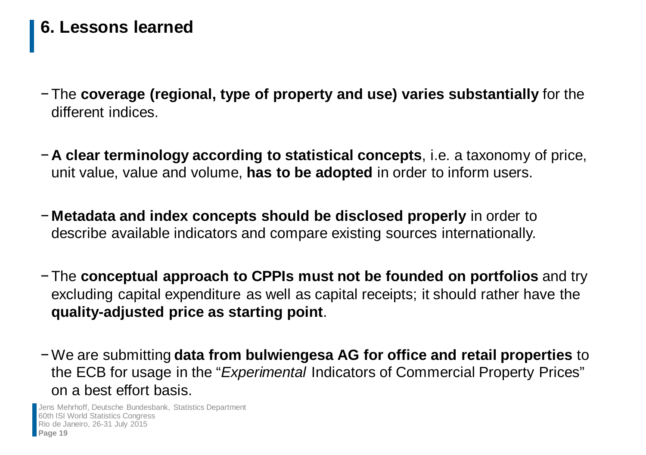#### **6. Lessons learned**

- − The **coverage (regional, type of property and use) varies substantially** for the different indices.
- − **A clear terminology according to statistical concepts**, i.e. a taxonomy of price, unit value, value and volume, **has to be adopted** in order to inform users.
- − **Metadata and index concepts should be disclosed properly** in order to describe available indicators and compare existing sources internationally.
- − The **conceptual approach to CPPIs must not be founded on portfolios** and try excluding capital expenditure as well as capital receipts; it should rather have the **quality-adjusted price as starting point**.
- −We are submitting **data from bulwiengesa AG for office and retail properties** to the ECB for usage in the "*Experimental* Indicators of Commercial Property Prices" on a best effort basis.